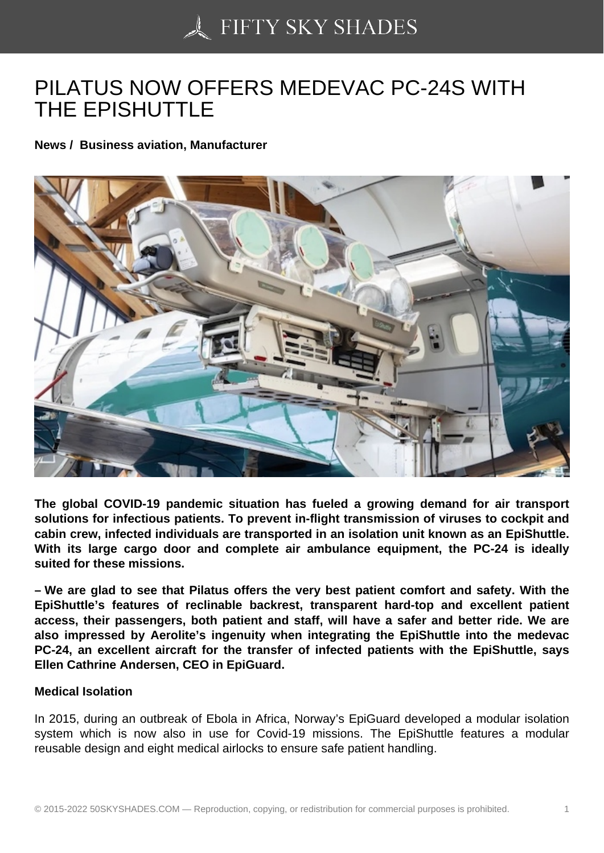## [PILATUS NOW OFFER](https://50skyshades.com)S MEDEVAC PC-24S WITH THE EPISHUTTLE

News / Business aviation, Manufacturer

The global COVID-19 pandemic situation has fueled a growing demand for air transport solutions for infectious patients. To prevent in-flight transmission of viruses to cockpit and cabin crew, infected individuals are transported in an isolation unit known as an EpiShuttle. With its large cargo door and complete air ambulance equipment, the PC-24 is ideally suited for these missions.

– We are glad to see that Pilatus offers the very best patient comfort and safety. With the EpiShuttle's features of reclinable backrest, transparent hard-top and excellent patient access, their passengers, both patient and staff, will have a safer and better ride. We are also impressed by Aerolite's ingenuity when integrating the EpiShuttle into the medevac PC-24, an excellent aircraft for the transfer of infected patients with the EpiShuttle, says Ellen Cathrine Andersen, CEO in EpiGuard.

## Medical Isolation

In 2015, during an outbreak of Ebola in Africa, Norway's EpiGuard developed a modular isolation system which is now also in use for Covid-19 missions. The EpiShuttle features a modular reusable design and eight medical airlocks to ensure safe patient handling.